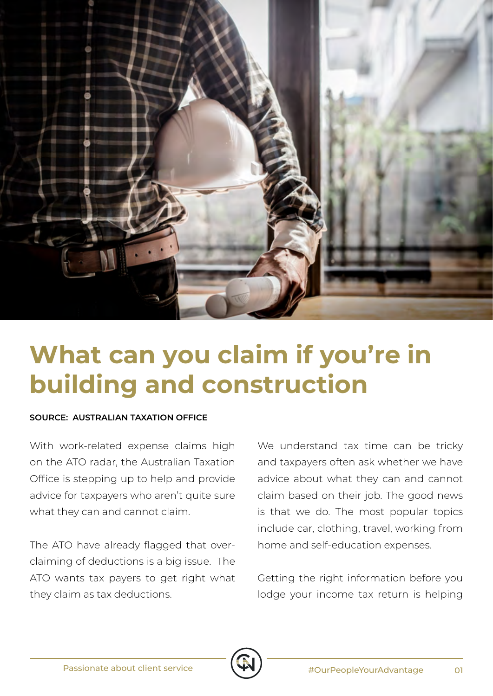

## **What can you claim if you're in building and construction**

## **SOURCE: AUSTRALIAN TAXATION OFFICE**

With work-related expense claims high on the ATO radar, the Australian Taxation Office is stepping up to help and provide advice for taxpayers who aren't quite sure what they can and cannot claim.

The ATO have already flagged that overclaiming of deductions is a big issue. The ATO wants tax payers to get right what they claim as tax deductions.

We understand tax time can be tricky and taxpayers often ask whether we have advice about what they can and cannot claim based on their job. The good news is that we do. The most popular topics include car, clothing, travel, working from home and self-education expenses.

Getting the right information before you lodge your income tax return is helping